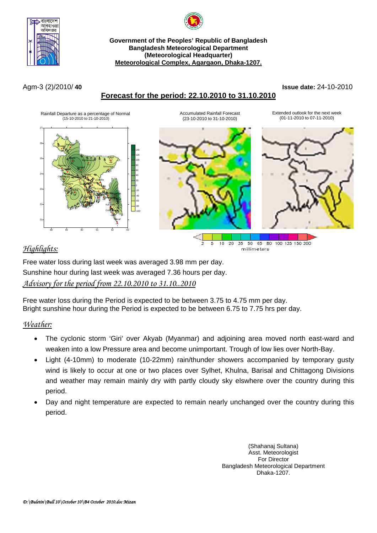



**Government of the Peoples' Republic of Bangladesh Bangladesh Meteorological Department (Meteorological Headquarter) Meteorological Complex, Agargaon, Dhaka-1207.**

# **Forecast for the period: 22.10.2010 to 31.10.2010**

Agm-3 (2)/2010/ **40 Issue date:** 24-10-2010



n,  $\mathbf{r}_\mathrm{t}$ 

# *Highlights:*

 $10 - 20$ 35 50 65 80 100 125 150 200 millimeters

Free water loss during last week was averaged 3.98 mm per day. Sunshine hour during last week was averaged 7.36 hours per day.

# *Advisory for the period from 22.10.2010 to 31.10..2010*

Free water loss during the Period is expected to be between 3.75 to 4.75 mm per day. Bright sunshine hour during the Period is expected to be between 6.75 to 7.75 hrs per day.

# *Weather:*

- The cyclonic storm 'Giri' over Akyab (Myanmar) and adjoining area moved north east-ward and weaken into a low Pressure area and become unimportant. Trough of low lies over North-Bay.
- Light (4-10mm) to moderate (10-22mm) rain/thunder showers accompanied by temporary gusty wind is likely to occur at one or two places over Sylhet, Khulna, Barisal and Chittagong Divisions and weather may remain mainly dry with partly cloudy sky elswhere over the country during this period.
- Day and night temperature are expected to remain nearly unchanged over the country during this period.

(Shahanaj Sultana) Asst. Meteorologist For Director Bangladesh Meteorological Department Dhaka-1207.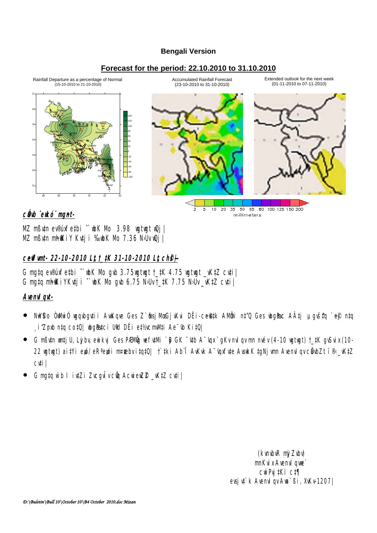#### **Bengali Version**

#### **Forecast for the period: 22.10.2010 to 31.10.2010**



c**Öb** ̂ekó¨ mgnt-

MZ mßv‡n ev®úxfe‡bi ˆ`wbK Mo 3.98 wgtwgt wQj| MZ mßutn mhokiy Kutji %bK Mb 7.36 N·Uv Qj

## **ceffunt- 22-10-2010 Lt, t\_#K 31-10-2010 Lt, ch&** $\vdash$

G mg‡q ev®úxfe‡bi  $\hat{\ }$  wh Mb gvb 3.75 wgtwgt  $\uparrow$  tk 4.75 wgtwgt  $\downarrow$  wktZ cv‡i G mg‡q mhikiyKv‡ji ^`wk Mo gvb 6.75 N·Uv $\pm$ ‡K 7.75 N·Uv $\pm$ vK‡Z cv‡i $\pm$ 

### **AvenvIqvt-**

NWSo Ò**ww**iÓ wgbgytii AwKgye Ges Z`**&sjMeGjvKvi DËi-ce©yk AMÖni n‡"Q Ges whg@c AÂtj µgyštq** `e@ ntq  $\epsilon$ i $Z$ nb n‡q co‡Q| wg@dzci Udd DËi e‡½cmV(ti Ae $^-$ 0 Ki‡Q|

millimeters

- G mߢn watjU, Ljby, ewikyi Ges PÆMÖg vefv‡Mi `B GK ¯'4tb A¯'apx`gKv mulqv mn mév (4-10 vgtwgt) †\_‡K gvSvix (10-22 wgtwgt) ai‡Yi ewó/ eRªewói m¤¢ebv i‡q‡Q| †`‡ki Ab¨Î AvKvk A¬'opufyte AvsukK ‡gNjvmn AvenvIgv cÖabZt ï®\_vK‡Z cv‡i|
- G mg‡q ẁb I iv‡Zi ZvcgvÎv cũ AcwiewZ® \_vK‡Z cv‡i|

(kvnbvR nj Zvbv) mnKvix Avenvique` cwiPvj‡Ki c‡¶ evsju‡`k Avenviqv Ava`ßi, XvKv-1207|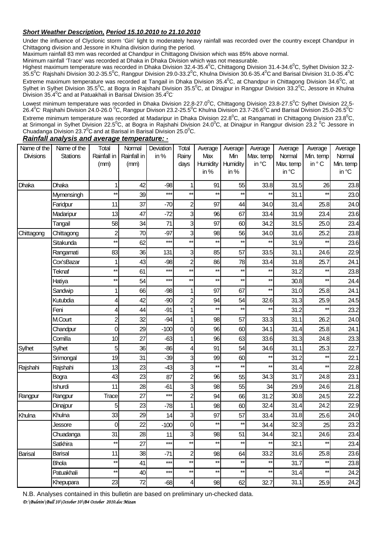#### *Short Weather Description, Period 15.10.2010 to 21.10.2010*

Under the influence of Clyclonic storm 'Giri' light to moderately heavy rainfall was recorded over the country except Chandpur in Chittagong division and Jessore in Khulna division during the period.

Maximum rainfall 83 mm was recorded at Chandpur in Chittagong Division which was 85% above normal.

Minimum rainfall 'Trace' was recorded at Dhaka in Dhaka Division which was not measurable.

Highest maximum temperature was recorded in Dhaka Division 32.4-35.4<sup>0</sup>C, Chittagong Division 31.4-34.6<sup>0</sup>C, Sylhet Division 32.2-35.5<sup>0</sup>C<sup>,</sup> Rajshahi Division 30.2-35.5<sup>0</sup>C, Rangpur Division 29.0-33.2<sup>0</sup>C, Khulna Division 30.6-35.4<sup>0</sup>C and Barisal Division 31.0-35.4<sup>0</sup>C Extreme maximum temperature was recorded at Tangail in Dhaka Division 35.4 $^0$ C, at Chandpur in Chittagong Division 34.6 $^0$ C, at Sylhet in Sylhet Division 35.5<sup>0</sup>C, at Bogra in Rajshahi Division 35.5<sup>0</sup>C, at Dinajpur in Rangpur Division 33.2<sup>0</sup>C, Jessore in Khulna Division 35.4°C and at Patuakhali in Barisal Division 35.4°C

Lowest minimum temperature was recorded in Dhaka Division 22.8-27.0<sup>0</sup>C, Chittagong Division 23.8-27.5<sup>0</sup>C' Sylhet Division 22.5-26.4 $^0$ C<sup>,</sup> Rajshahi Division 24.0-26.0  $^0$ C, Rangpur Divison 23.2-25.5 $^0$ C Khulna Division 23.7-26.6 $^0$ C and Barisal Division 25.0-26.5 $^0$ C Extreme minimum temperature was recorded at Madaripur in Dhaka Division 22.8<sup>0</sup>C, at Rangamati in Chittagong Division 23.8<sup>0</sup>C, at Srimongal in Sylhet Division 22.5<sup>0</sup>C, at Bogra in Rajshahi Division 24.0<sup>0</sup>C, at Dinajpur in Rangpur division 23.2 <sup>0</sup>C Jessore in Chuadanga Division 23.7 $\mathrm{^0C}$  and at Barisal in Barisal Division 25.0 $\mathrm{^0C}$ .

| Name of the      | Name of the     | Total           | Normal      | Deviation | Total                    | Average         | Average         | Average         | Average   | Average      | Average   |
|------------------|-----------------|-----------------|-------------|-----------|--------------------------|-----------------|-----------------|-----------------|-----------|--------------|-----------|
| <b>Divisions</b> | <b>Stations</b> | Rainfall in     | Rainfall in | in%       | Rainy                    | Max             | Min             | Max. temp       | Normal    | Min. temp    | Normal    |
|                  |                 | (mm)            | (mm)        |           | days                     | Humidity        | Humidity        | in °C           | Max. temp | in °C        | Min. temp |
|                  |                 |                 |             |           |                          | in $%$          | in $%$          |                 | in °C     |              | in °C     |
| Dhaka            | Dhaka           |                 | 42          | $-98$     |                          | 91              | 55              | 33.8            | 31.5      | 26           | 23.8      |
|                  | Mymensingh      | $^{\star\star}$ | 39          | $***$     | $\star\star$             | $\star\star$    | $\star\star$    | $\star\star$    | 31.1      |              | 23.0      |
|                  | Faridpur        | 11              | 37          | $-70$     | $\overline{c}$           | 97              | 44              | 34.0            | 31.4      | 25.8         | 24.0      |
|                  | Madaripur       | 13              | 47          | $-72$     | 3                        | 96              | 67              | 33.4            | 31.9      | 23.4         | 23.6      |
|                  | Tangail         | 58              | 34          | 71        | 3                        | 97              | 60              | 34.2            | 31.5      | 25.0         | 23.4      |
| Chittagong       | Chittagong      | $\overline{c}$  | 70          | $-97$     | 3                        | 98              | 56              | 34.0            | 31.6      | 25.2         | 23.8      |
|                  | Sitakunda       | $\star\star$    | 62          | $***$     | $\star\star$             | $\star\star$    | $\star\star$    | $\star\star$    | 31.9      | $**$         | 23.6      |
|                  | Rangamati       | 83              | 36          | 131       | 3                        | 85              | 57              | 33.5            | 31.1      | 24.6         | 22.9      |
|                  | Cox'sBazar      |                 | 43          | $-98$     | $\overline{2}$           | 86              | 78              | 33.4            | 31.8      | 25.7         | 24.1      |
|                  | Teknaf          | **              | 61          | $***$     | $***$                    | $**$            | $***$           | $\star\star$    | 31.2      |              | 23.8      |
|                  | Hatiya          | **              | 54          | $***$     | $***$                    | $**$            | $**$            | $\star\star$    | 30.8      | $**$         | 24.4      |
|                  | Sandwip         |                 | 66          | $-98$     | 1                        | 97              | 67              | $**$            | 31.0      | 25.8         | 24.1      |
|                  | Kutubdia        | 4               | 42          | $-90$     | $\overline{2}$           | 94              | 54              | 32.6            | 31.3      | 25.9         | 24.5      |
|                  | Feni            | 4               | 44          | $-91$     |                          | $\star\star$    | $\star\star$    | $\star\star$    | 31.2      | $**$         | 23.2      |
|                  | M.Court         | $\overline{c}$  | 32          | $-94$     |                          | 98              | 57              | 33.3            | 31.1      | 26.2         | 24.0      |
|                  | Chandpur        | 0               | 29          | $-100$    | 0                        | 96              | 60              | 34.1            | 31.4      | 25.8         | 24.1      |
|                  | Comilla         | 10              | 27          | $-63$     | 1                        | 96              | 63              | 33.6            | 31.3      | 24.8         | 23.3      |
| Sylhet           | Sylhet          | 5               | 36          | $-86$     | 4                        | 91              | 54              | 34.6            | 31.1      | 25.3         | 22.7      |
|                  | Srimongal       | 19              | 31          | $-39$     | 3                        | 99              | 60              | $**$            | 31.2      | $**$         | 22.1      |
| Rajshahi         | Rajshahi        | 13              | 23          | $-43$     | 3                        | $***$           | $***$           | $\star\star$    | 31.4      | $\star\star$ | 22.8      |
|                  | Bogra           | 43              | 23          | 87        | $\overline{2}$           | 96              | 55              | 34.3            | 31.7      | 24.8         | 23.1      |
|                  | Ishurdi         | 11              | 28          | $-61$     | 3                        | 98              | 55              | 34              | 29.9      | 24.6         | 21.8      |
| Rangpur          | Rangpur         | Trace           | 27          | $***$     | $\overline{c}$           | 94              | 66              | 31.2            | 30.8      | 24.5         | 22.2      |
|                  | Dinajpur        | 5               | 23          | $-78$     | 1                        | 98              | 60              | 32.4            | 31.4      | 24.2         | 22.9      |
| Khulna           | Khulna          | 33              | 29          | 14        | 3                        | 97              | 57              | 33.4            | 31.8      | 25.6         | 24.0      |
|                  | Jessore         | $\mathbf 0$     | 22          | .100      | $\overline{0}$           | $^{\star\star}$ | $^{\star\star}$ | 34.4            | 32.3      | 25           | 23.2      |
|                  | Chuadanga       | 31              | 28          | 11        | $\overline{3}$           | 98              | 51              | 34.4            | 32.1      | 24.6         | 23.4      |
|                  | Satkhira        | $^{\star\star}$ | 27          | $***$     | $\star\star$             | $^{\star\star}$ | $\star\star$    | $\star\star$    | 32.1      | $***$        | 23.4      |
| Barisal          | Barisal         | 11              | 38          | $-71$     | $\mathbf{z}$             | 98              | 64              | 33.2            | 31.6      | 25.8         | 23.6      |
|                  | <b>Bhola</b>    | $^{\star\star}$ | 41          | $***$     | $***$                    | $^{\star\star}$ | $\star\star$    | $\star\star$    | 31.7      | $\star\star$ | 23.8      |
|                  | Patuakhali      | $^{\star\star}$ | 40          | $***$     | $\star\star$             | $^{\star\star}$ | $^{\star\star}$ | $^{\star\star}$ | 31.4      | $\star\star$ | 24.2      |
|                  | Khepupara       | 23              | 72          | $-68$     | $\overline{\mathcal{A}}$ | 98              | 62              | 32.7            | 31.1      | 25.9         | 24.2      |
|                  |                 |                 |             |           |                          |                 |                 |                 |           |              |           |

*Rainfall analysis and average temperature:* **-**

N.B. Analyses contained in this bulletin are based on preliminary un-checked data.

*D:\Buletin\Bull 10\October 10\B4 October 2010.doc Mizan*